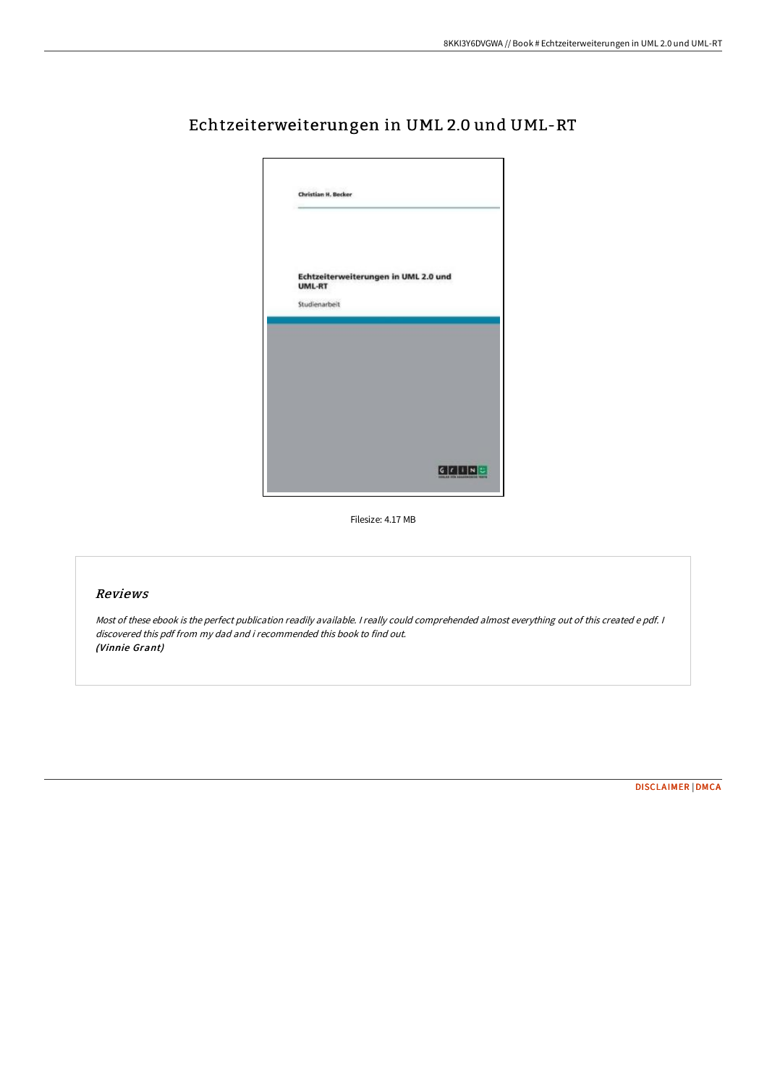

# Echtzeiterweiterungen in UML 2.0 und UML-RT

Filesize: 4.17 MB

# Reviews

Most of these ebook is the perfect publication readily available. <sup>I</sup> really could comprehended almost everything out of this created <sup>e</sup> pdf. <sup>I</sup> discovered this pdf from my dad and i recommended this book to find out. (Vinnie Grant)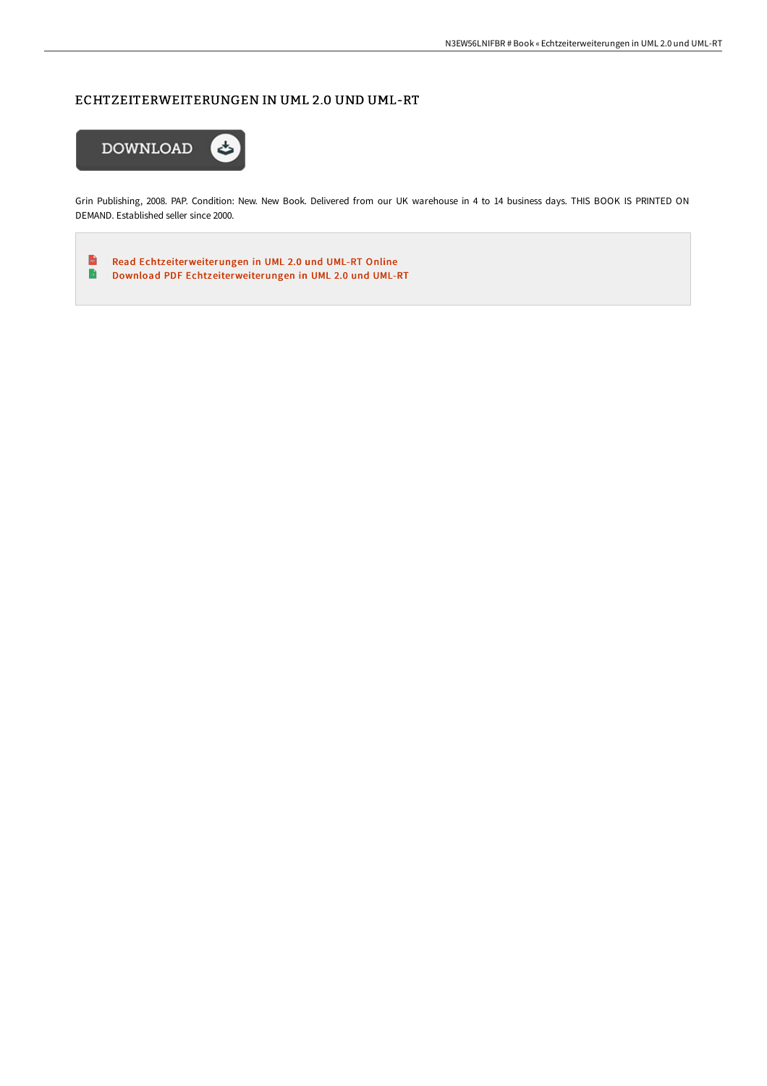## ECHTZEITERWEITERUNGEN IN UML 2.0 UND UML-RT



Grin Publishing, 2008. PAP. Condition: New. New Book. Delivered from our UK warehouse in 4 to 14 business days. THIS BOOK IS PRINTED ON DEMAND. Established seller since 2000.

 $\mathbf{R}$ Read [Echtzeiterweiterungen](http://techno-pub.tech/echtzeiterweiterungen-in-uml-2-0-und-uml-rt.html) in UML 2.0 und UML-RT Online  $\blacktriangleright$ Download PDF [Echtzeiterweiterungen](http://techno-pub.tech/echtzeiterweiterungen-in-uml-2-0-und-uml-rt.html) in UML 2.0 und UML-RT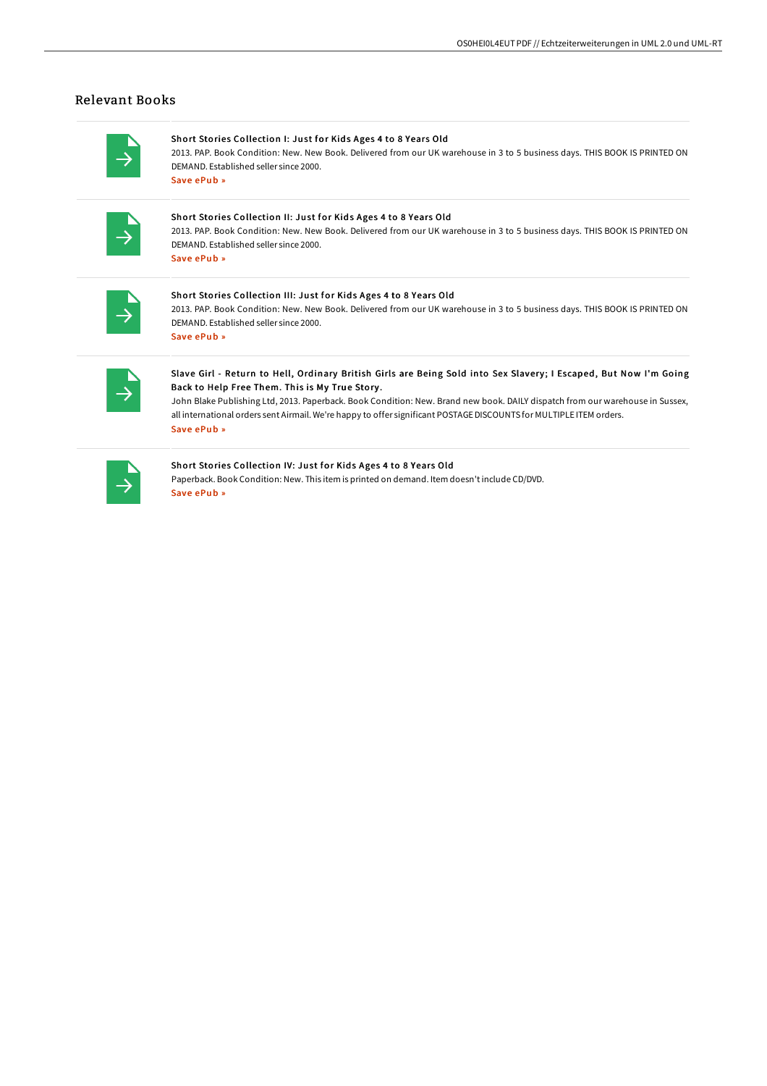### Relevant Books

# Short Stories Collection I: Just for Kids Ages 4 to 8 Years Old

2013. PAP. Book Condition: New. New Book. Delivered from our UK warehouse in 3 to 5 business days. THIS BOOK IS PRINTED ON DEMAND. Established seller since 2000. Save [ePub](http://techno-pub.tech/short-stories-collection-i-just-for-kids-ages-4-.html) »

#### Short Stories Collection II: Just for Kids Ages 4 to 8 Years Old

2013. PAP. Book Condition: New. New Book. Delivered from our UK warehouse in 3 to 5 business days. THIS BOOK IS PRINTED ON DEMAND. Established seller since 2000. Save [ePub](http://techno-pub.tech/short-stories-collection-ii-just-for-kids-ages-4.html) »

#### Short Stories Collection III: Just for Kids Ages 4 to 8 Years Old 2013. PAP. Book Condition: New. New Book. Delivered from our UK warehouse in 3 to 5 business days. THIS BOOK IS PRINTED ON DEMAND. Established seller since 2000. Save [ePub](http://techno-pub.tech/short-stories-collection-iii-just-for-kids-ages-.html) »

## Slave Girl - Return to Hell, Ordinary British Girls are Being Sold into Sex Slavery; I Escaped, But Now I'm Going Back to Help Free Them. This is My True Story .

John Blake Publishing Ltd, 2013. Paperback. Book Condition: New. Brand new book. DAILY dispatch from our warehouse in Sussex, all international orders sent Airmail. We're happy to offer significant POSTAGE DISCOUNTS for MULTIPLE ITEM orders. Save [ePub](http://techno-pub.tech/slave-girl-return-to-hell-ordinary-british-girls.html) »

#### Short Stories Collection IV: Just for Kids Ages 4 to 8 Years Old

Paperback. Book Condition: New. This item is printed on demand. Item doesn't include CD/DVD. Save [ePub](http://techno-pub.tech/short-stories-collection-iv-just-for-kids-ages-4.html) »